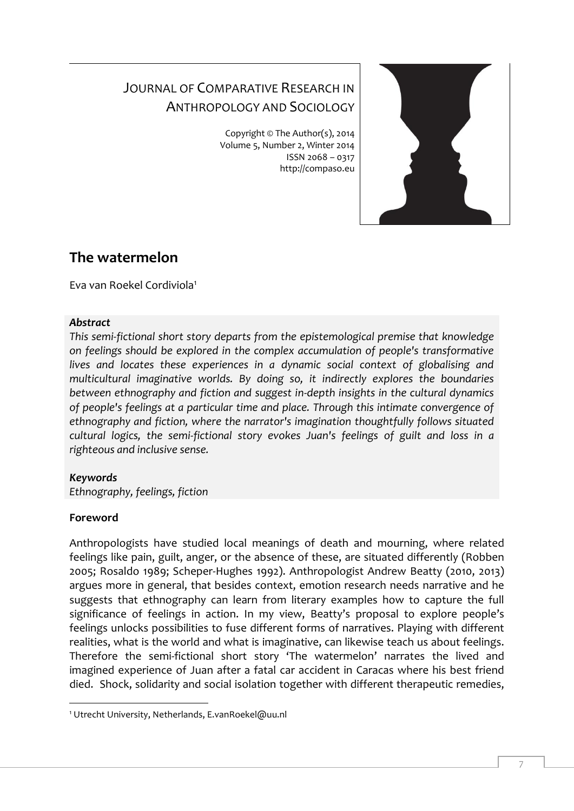# JOURNAL OF COMPARATIVE RESEARCH IN ANTHROPOLOGY AND SOCIOLOGY

Copyright © The Author(s), 2014 Volume 5, Number 2, Winter 2014 ISSN 2068 – 0317 http://compaso.eu



# **The watermelon**

Eva van Roekel Cordiviola<sup>1</sup>

### *Abstract*

*This semi-fictional short story departs from the epistemological premise that knowledge on feelings should be explored in the complex accumulation of people's transformative lives and locates these experiences in a dynamic social context of globalising and multicultural imaginative worlds. By doing so, it indirectly explores the boundaries between ethnography and fiction and suggest in-depth insights in the cultural dynamics of people's feelings at a particular time and place. Through this intimate convergence of ethnography and fiction, where the narrator's imagination thoughtfully follows situated cultural logics, the semi-fictional story evokes Juan's feelings of guilt and loss in a righteous and inclusive sense.*

### *Keywords*

*Ethnography, feelings, fiction*

## **Foreword**

-

Anthropologists have studied local meanings of death and mourning, where related feelings like pain, guilt, anger, or the absence of these, are situated differently (Robben 2005; Rosaldo 1989; Scheper-Hughes 1992). Anthropologist Andrew Beatty (2010, 2013) argues more in general, that besides context, emotion research needs narrative and he suggests that ethnography can learn from literary examples how to capture the full significance of feelings in action. In my view, Beatty's proposal to explore people's feelings unlocks possibilities to fuse different forms of narratives. Playing with different realities, what is the world and what is imaginative, can likewise teach us about feelings. Therefore the semi-fictional short story 'The watermelon' narrates the lived and imagined experience of Juan after a fatal car accident in Caracas where his best friend died. Shock, solidarity and social isolation together with different therapeutic remedies,

<sup>1</sup> Utrecht University, Netherlands, E.vanRoekel@uu.nl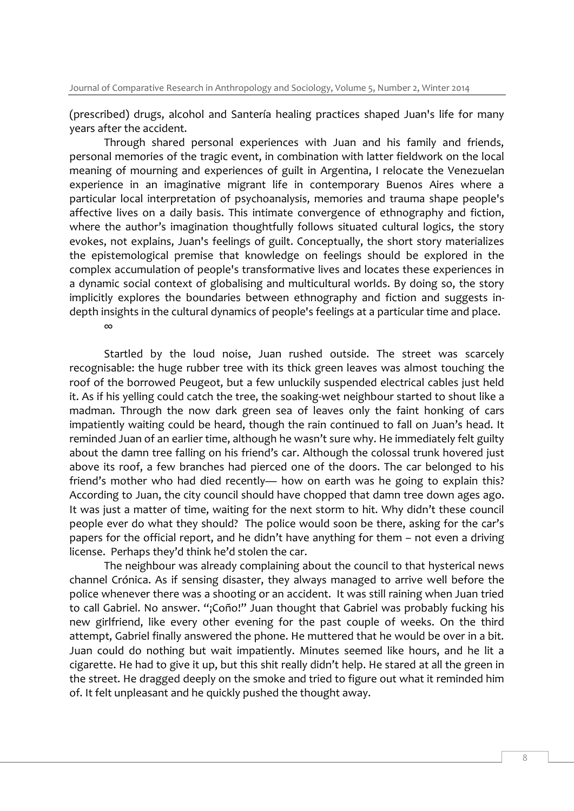(prescribed) drugs, alcohol and Santería healing practices shaped Juan's life for many years after the accident.

Through shared personal experiences with Juan and his family and friends, personal memories of the tragic event, in combination with latter fieldwork on the local meaning of mourning and experiences of guilt in Argentina, I relocate the Venezuelan experience in an imaginative migrant life in contemporary Buenos Aires where a particular local interpretation of psychoanalysis, memories and trauma shape people's affective lives on a daily basis. This intimate convergence of ethnography and fiction, where the author's imagination thoughtfully follows situated cultural logics, the story evokes, not explains, Juan's feelings of guilt. Conceptually, the short story materializes the epistemological premise that knowledge on feelings should be explored in the complex accumulation of people's transformative lives and locates these experiences in a dynamic social context of globalising and multicultural worlds. By doing so, the story implicitly explores the boundaries between ethnography and fiction and suggests indepth insights in the cultural dynamics of people's feelings at a particular time and place.

∞

Startled by the loud noise, Juan rushed outside. The street was scarcely recognisable: the huge rubber tree with its thick green leaves was almost touching the roof of the borrowed Peugeot, but a few unluckily suspended electrical cables just held it. As if his yelling could catch the tree, the soaking-wet neighbour started to shout like a madman. Through the now dark green sea of leaves only the faint honking of cars impatiently waiting could be heard, though the rain continued to fall on Juan's head. It reminded Juan of an earlier time, although he wasn't sure why. He immediately felt guilty about the damn tree falling on his friend's car. Although the colossal trunk hovered just above its roof, a few branches had pierced one of the doors. The car belonged to his friend's mother who had died recently— how on earth was he going to explain this? According to Juan, the city council should have chopped that damn tree down ages ago. It was just a matter of time, waiting for the next storm to hit. Why didn't these council people ever do what they should? The police would soon be there, asking for the car's papers for the official report, and he didn't have anything for them – not even a driving license. Perhaps they'd think he'd stolen the car.

The neighbour was already complaining about the council to that hysterical news channel Crónica. As if sensing disaster, they always managed to arrive well before the police whenever there was a shooting or an accident. It was still raining when Juan tried to call Gabriel. No answer. "¡Coño!" Juan thought that Gabriel was probably fucking his new girlfriend, like every other evening for the past couple of weeks. On the third attempt, Gabriel finally answered the phone. He muttered that he would be over in a bit. Juan could do nothing but wait impatiently. Minutes seemed like hours, and he lit a cigarette. He had to give it up, but this shit really didn't help. He stared at all the green in the street. He dragged deeply on the smoke and tried to figure out what it reminded him of. It felt unpleasant and he quickly pushed the thought away.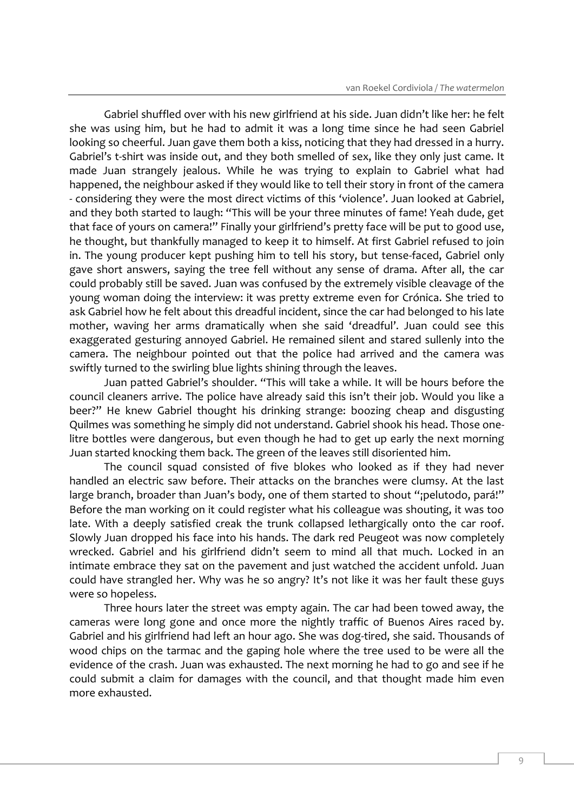Gabriel shuffled over with his new girlfriend at his side. Juan didn't like her: he felt she was using him, but he had to admit it was a long time since he had seen Gabriel looking so cheerful. Juan gave them both a kiss, noticing that they had dressed in a hurry. Gabriel's t-shirt was inside out, and they both smelled of sex, like they only just came. It made Juan strangely jealous. While he was trying to explain to Gabriel what had happened, the neighbour asked if they would like to tell their story in front of the camera - considering they were the most direct victims of this 'violence'. Juan looked at Gabriel, and they both started to laugh: "This will be your three minutes of fame! Yeah dude, get that face of yours on camera!" Finally your girlfriend's pretty face will be put to good use, he thought, but thankfully managed to keep it to himself. At first Gabriel refused to join in. The young producer kept pushing him to tell his story, but tense-faced, Gabriel only gave short answers, saying the tree fell without any sense of drama. After all, the car could probably still be saved. Juan was confused by the extremely visible cleavage of the young woman doing the interview: it was pretty extreme even for Crónica. She tried to ask Gabriel how he felt about this dreadful incident, since the car had belonged to his late mother, waving her arms dramatically when she said 'dreadful'. Juan could see this exaggerated gesturing annoyed Gabriel. He remained silent and stared sullenly into the camera. The neighbour pointed out that the police had arrived and the camera was swiftly turned to the swirling blue lights shining through the leaves.

Juan patted Gabriel's shoulder. "This will take a while. It will be hours before the council cleaners arrive. The police have already said this isn't their job. Would you like a beer?" He knew Gabriel thought his drinking strange: boozing cheap and disgusting Quilmes was something he simply did not understand. Gabriel shook his head. Those onelitre bottles were dangerous, but even though he had to get up early the next morning Juan started knocking them back. The green of the leaves still disoriented him.

The council squad consisted of five blokes who looked as if they had never handled an electric saw before. Their attacks on the branches were clumsy. At the last large branch, broader than Juan's body, one of them started to shout "¡pelutodo, pará!" Before the man working on it could register what his colleague was shouting, it was too late. With a deeply satisfied creak the trunk collapsed lethargically onto the car roof. Slowly Juan dropped his face into his hands. The dark red Peugeot was now completely wrecked. Gabriel and his girlfriend didn't seem to mind all that much. Locked in an intimate embrace they sat on the pavement and just watched the accident unfold. Juan could have strangled her. Why was he so angry? It's not like it was her fault these guys were so hopeless.

Three hours later the street was empty again. The car had been towed away, the cameras were long gone and once more the nightly traffic of Buenos Aires raced by. Gabriel and his girlfriend had left an hour ago. She was dog-tired, she said. Thousands of wood chips on the tarmac and the gaping hole where the tree used to be were all the evidence of the crash. Juan was exhausted. The next morning he had to go and see if he could submit a claim for damages with the council, and that thought made him even more exhausted.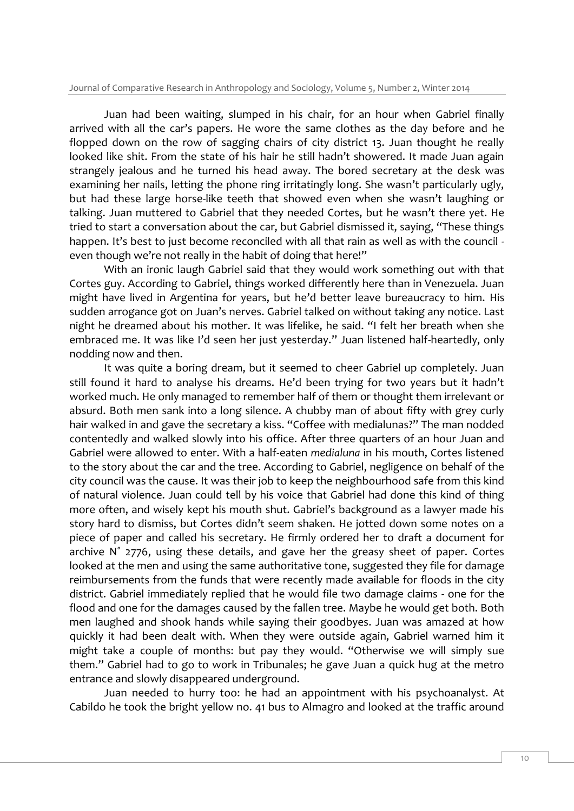Juan had been waiting, slumped in his chair, for an hour when Gabriel finally arrived with all the car's papers. He wore the same clothes as the day before and he flopped down on the row of sagging chairs of city district 13. Juan thought he really looked like shit. From the state of his hair he still hadn't showered. It made Juan again strangely jealous and he turned his head away. The bored secretary at the desk was examining her nails, letting the phone ring irritatingly long. She wasn't particularly ugly, but had these large horse-like teeth that showed even when she wasn't laughing or talking. Juan muttered to Gabriel that they needed Cortes, but he wasn't there yet. He tried to start a conversation about the car, but Gabriel dismissed it, saying, "These things happen. It's best to just become reconciled with all that rain as well as with the council even though we're not really in the habit of doing that here!"

With an ironic laugh Gabriel said that they would work something out with that Cortes guy. According to Gabriel, things worked differently here than in Venezuela. Juan might have lived in Argentina for years, but he'd better leave bureaucracy to him. His sudden arrogance got on Juan's nerves. Gabriel talked on without taking any notice. Last night he dreamed about his mother. It was lifelike, he said. "I felt her breath when she embraced me. It was like I'd seen her just yesterday." Juan listened half-heartedly, only nodding now and then.

It was quite a boring dream, but it seemed to cheer Gabriel up completely. Juan still found it hard to analyse his dreams. He'd been trying for two years but it hadn't worked much. He only managed to remember half of them or thought them irrelevant or absurd. Both men sank into a long silence. A chubby man of about fifty with grey curly hair walked in and gave the secretary a kiss. "Coffee with medialunas?" The man nodded contentedly and walked slowly into his office. After three quarters of an hour Juan and Gabriel were allowed to enter. With a half-eaten *medialuna* in his mouth, Cortes listened to the story about the car and the tree. According to Gabriel, negligence on behalf of the city council was the cause. It was their job to keep the neighbourhood safe from this kind of natural violence. Juan could tell by his voice that Gabriel had done this kind of thing more often, and wisely kept his mouth shut. Gabriel's background as a lawyer made his story hard to dismiss, but Cortes didn't seem shaken. He jotted down some notes on a piece of paper and called his secretary. He firmly ordered her to draft a document for archive N˚ 2776, using these details, and gave her the greasy sheet of paper. Cortes looked at the men and using the same authoritative tone, suggested they file for damage reimbursements from the funds that were recently made available for floods in the city district. Gabriel immediately replied that he would file two damage claims - one for the flood and one for the damages caused by the fallen tree. Maybe he would get both. Both men laughed and shook hands while saying their goodbyes. Juan was amazed at how quickly it had been dealt with. When they were outside again, Gabriel warned him it might take a couple of months: but pay they would. "Otherwise we will simply sue them." Gabriel had to go to work in Tribunales; he gave Juan a quick hug at the metro entrance and slowly disappeared underground.

Juan needed to hurry too: he had an appointment with his psychoanalyst. At Cabildo he took the bright yellow no. 41 bus to Almagro and looked at the traffic around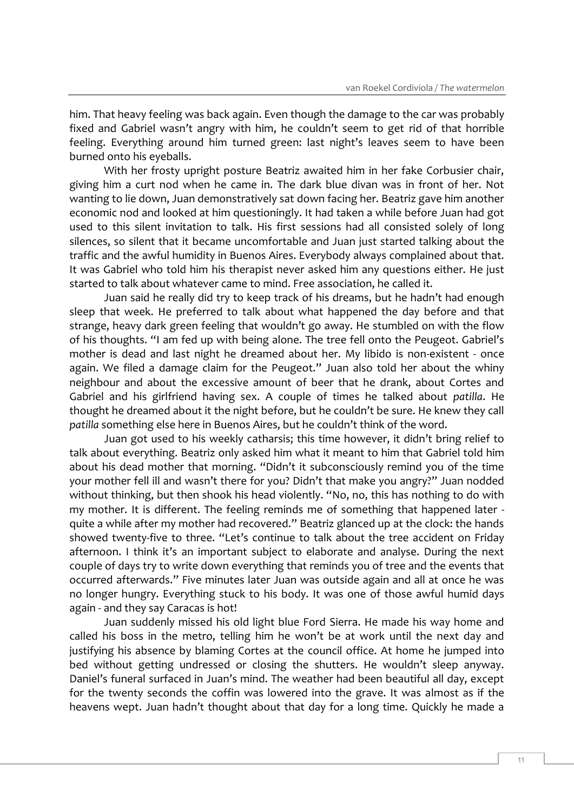him. That heavy feeling was back again. Even though the damage to the car was probably fixed and Gabriel wasn't angry with him, he couldn't seem to get rid of that horrible feeling. Everything around him turned green: last night's leaves seem to have been burned onto his eyeballs.

With her frosty upright posture Beatriz awaited him in her fake Corbusier chair, giving him a curt nod when he came in. The dark blue divan was in front of her. Not wanting to lie down, Juan demonstratively sat down facing her. Beatriz gave him another economic nod and looked at him questioningly. It had taken a while before Juan had got used to this silent invitation to talk. His first sessions had all consisted solely of long silences, so silent that it became uncomfortable and Juan just started talking about the traffic and the awful humidity in Buenos Aires. Everybody always complained about that. It was Gabriel who told him his therapist never asked him any questions either. He just started to talk about whatever came to mind. Free association, he called it.

Juan said he really did try to keep track of his dreams, but he hadn't had enough sleep that week. He preferred to talk about what happened the day before and that strange, heavy dark green feeling that wouldn't go away. He stumbled on with the flow of his thoughts. "I am fed up with being alone. The tree fell onto the Peugeot. Gabriel's mother is dead and last night he dreamed about her. My libido is non-existent - once again. We filed a damage claim for the Peugeot." Juan also told her about the whiny neighbour and about the excessive amount of beer that he drank, about Cortes and Gabriel and his girlfriend having sex. A couple of times he talked about *patilla*. He thought he dreamed about it the night before, but he couldn't be sure. He knew they call *patilla* something else here in Buenos Aires, but he couldn't think of the word.

Juan got used to his weekly catharsis; this time however, it didn't bring relief to talk about everything. Beatriz only asked him what it meant to him that Gabriel told him about his dead mother that morning. "Didn't it subconsciously remind you of the time your mother fell ill and wasn't there for you? Didn't that make you angry?" Juan nodded without thinking, but then shook his head violently. "No, no, this has nothing to do with my mother. It is different. The feeling reminds me of something that happened later quite a while after my mother had recovered." Beatriz glanced up at the clock: the hands showed twenty-five to three. "Let's continue to talk about the tree accident on Friday afternoon. I think it's an important subject to elaborate and analyse. During the next couple of days try to write down everything that reminds you of tree and the events that occurred afterwards." Five minutes later Juan was outside again and all at once he was no longer hungry. Everything stuck to his body. It was one of those awful humid days again - and they say Caracas is hot!

Juan suddenly missed his old light blue Ford Sierra. He made his way home and called his boss in the metro, telling him he won't be at work until the next day and justifying his absence by blaming Cortes at the council office. At home he jumped into bed without getting undressed or closing the shutters. He wouldn't sleep anyway. Daniel's funeral surfaced in Juan's mind. The weather had been beautiful all day, except for the twenty seconds the coffin was lowered into the grave. It was almost as if the heavens wept. Juan hadn't thought about that day for a long time. Quickly he made a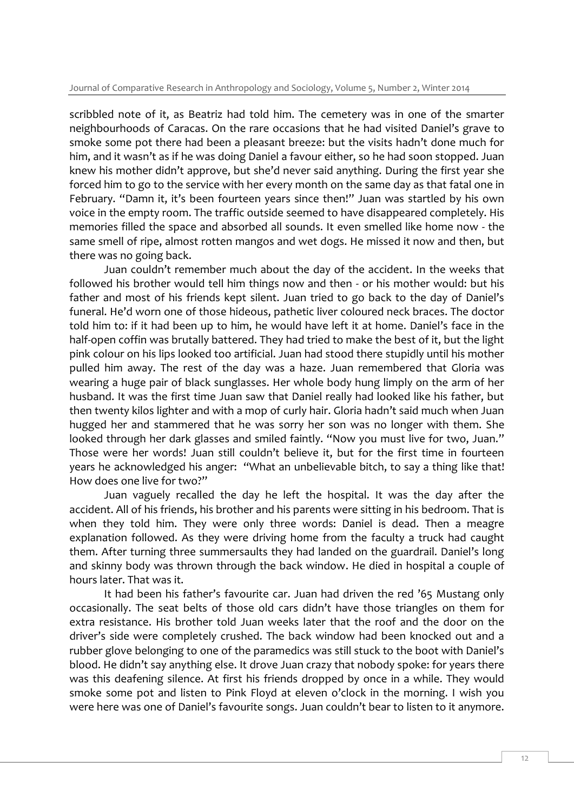scribbled note of it, as Beatriz had told him. The cemetery was in one of the smarter neighbourhoods of Caracas. On the rare occasions that he had visited Daniel's grave to smoke some pot there had been a pleasant breeze: but the visits hadn't done much for him, and it wasn't as if he was doing Daniel a favour either, so he had soon stopped. Juan knew his mother didn't approve, but she'd never said anything. During the first year she forced him to go to the service with her every month on the same day as that fatal one in February. "Damn it, it's been fourteen years since then!" Juan was startled by his own voice in the empty room. The traffic outside seemed to have disappeared completely. His memories filled the space and absorbed all sounds. It even smelled like home now - the same smell of ripe, almost rotten mangos and wet dogs. He missed it now and then, but there was no going back.

Juan couldn't remember much about the day of the accident. In the weeks that followed his brother would tell him things now and then - or his mother would: but his father and most of his friends kept silent. Juan tried to go back to the day of Daniel's funeral. He'd worn one of those hideous, pathetic liver coloured neck braces. The doctor told him to: if it had been up to him, he would have left it at home. Daniel's face in the half-open coffin was brutally battered. They had tried to make the best of it, but the light pink colour on his lips looked too artificial. Juan had stood there stupidly until his mother pulled him away. The rest of the day was a haze. Juan remembered that Gloria was wearing a huge pair of black sunglasses. Her whole body hung limply on the arm of her husband. It was the first time Juan saw that Daniel really had looked like his father, but then twenty kilos lighter and with a mop of curly hair. Gloria hadn't said much when Juan hugged her and stammered that he was sorry her son was no longer with them. She looked through her dark glasses and smiled faintly. "Now you must live for two, Juan." Those were her words! Juan still couldn't believe it, but for the first time in fourteen years he acknowledged his anger: "What an unbelievable bitch, to say a thing like that! How does one live for two?"

Juan vaguely recalled the day he left the hospital. It was the day after the accident. All of his friends, his brother and his parents were sitting in his bedroom. That is when they told him. They were only three words: Daniel is dead. Then a meagre explanation followed. As they were driving home from the faculty a truck had caught them. After turning three summersaults they had landed on the guardrail. Daniel's long and skinny body was thrown through the back window. He died in hospital a couple of hours later. That was it.

It had been his father's favourite car. Juan had driven the red '65 Mustang only occasionally. The seat belts of those old cars didn't have those triangles on them for extra resistance. His brother told Juan weeks later that the roof and the door on the driver's side were completely crushed. The back window had been knocked out and a rubber glove belonging to one of the paramedics was still stuck to the boot with Daniel's blood. He didn't say anything else. It drove Juan crazy that nobody spoke: for years there was this deafening silence. At first his friends dropped by once in a while. They would smoke some pot and listen to Pink Floyd at eleven o'clock in the morning. I wish you were here was one of Daniel's favourite songs. Juan couldn't bear to listen to it anymore.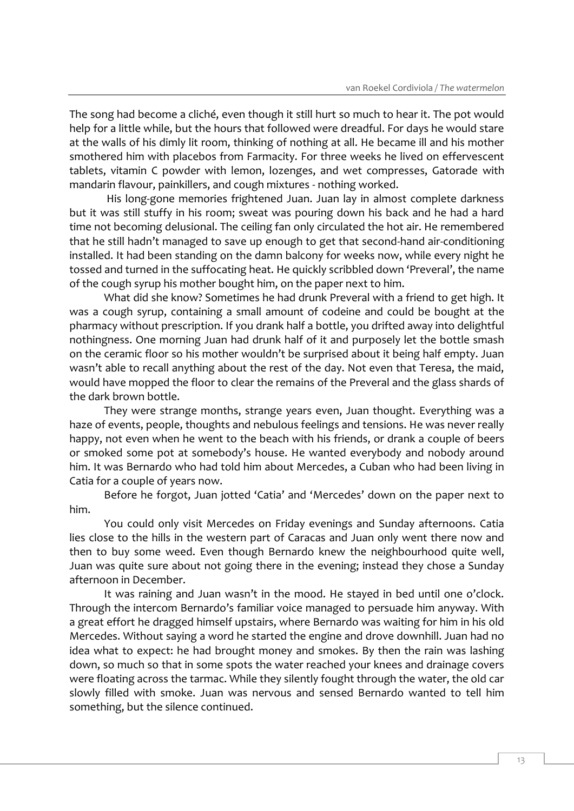The song had become a cliché, even though it still hurt so much to hear it. The pot would help for a little while, but the hours that followed were dreadful. For days he would stare at the walls of his dimly lit room, thinking of nothing at all. He became ill and his mother smothered him with placebos from Farmacity. For three weeks he lived on effervescent tablets, vitamin C powder with lemon, lozenges, and wet compresses, Gatorade with mandarin flavour, painkillers, and cough mixtures - nothing worked.

His long-gone memories frightened Juan. Juan lay in almost complete darkness but it was still stuffy in his room; sweat was pouring down his back and he had a hard time not becoming delusional. The ceiling fan only circulated the hot air. He remembered that he still hadn't managed to save up enough to get that second-hand air-conditioning installed. It had been standing on the damn balcony for weeks now, while every night he tossed and turned in the suffocating heat. He quickly scribbled down 'Preveral', the name of the cough syrup his mother bought him, on the paper next to him.

What did she know? Sometimes he had drunk Preveral with a friend to get high. It was a cough syrup, containing a small amount of codeine and could be bought at the pharmacy without prescription. If you drank half a bottle, you drifted away into delightful nothingness. One morning Juan had drunk half of it and purposely let the bottle smash on the ceramic floor so his mother wouldn't be surprised about it being half empty. Juan wasn't able to recall anything about the rest of the day. Not even that Teresa, the maid, would have mopped the floor to clear the remains of the Preveral and the glass shards of the dark brown bottle.

They were strange months, strange years even, Juan thought. Everything was a haze of events, people, thoughts and nebulous feelings and tensions. He was never really happy, not even when he went to the beach with his friends, or drank a couple of beers or smoked some pot at somebody's house. He wanted everybody and nobody around him. It was Bernardo who had told him about Mercedes, a Cuban who had been living in Catia for a couple of years now.

Before he forgot, Juan jotted 'Catia' and 'Mercedes' down on the paper next to him.

You could only visit Mercedes on Friday evenings and Sunday afternoons. Catia lies close to the hills in the western part of Caracas and Juan only went there now and then to buy some weed. Even though Bernardo knew the neighbourhood quite well, Juan was quite sure about not going there in the evening; instead they chose a Sunday afternoon in December.

It was raining and Juan wasn't in the mood. He stayed in bed until one o'clock. Through the intercom Bernardo's familiar voice managed to persuade him anyway. With a great effort he dragged himself upstairs, where Bernardo was waiting for him in his old Mercedes. Without saying a word he started the engine and drove downhill. Juan had no idea what to expect: he had brought money and smokes. By then the rain was lashing down, so much so that in some spots the water reached your knees and drainage covers were floating across the tarmac. While they silently fought through the water, the old car slowly filled with smoke. Juan was nervous and sensed Bernardo wanted to tell him something, but the silence continued.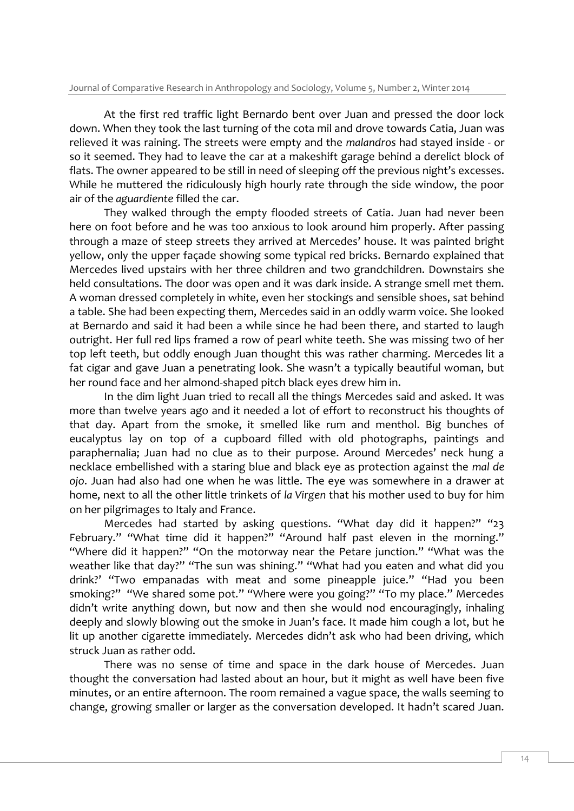At the first red traffic light Bernardo bent over Juan and pressed the door lock down. When they took the last turning of the cota mil and drove towards Catia, Juan was relieved it was raining. The streets were empty and the *malandros* had stayed inside - or so it seemed. They had to leave the car at a makeshift garage behind a derelict block of flats. The owner appeared to be still in need of sleeping off the previous night's excesses. While he muttered the ridiculously high hourly rate through the side window, the poor air of the *aguardiente* filled the car.

They walked through the empty flooded streets of Catia. Juan had never been here on foot before and he was too anxious to look around him properly. After passing through a maze of steep streets they arrived at Mercedes' house. It was painted bright yellow, only the upper façade showing some typical red bricks. Bernardo explained that Mercedes lived upstairs with her three children and two grandchildren. Downstairs she held consultations. The door was open and it was dark inside. A strange smell met them. A woman dressed completely in white, even her stockings and sensible shoes, sat behind a table. She had been expecting them, Mercedes said in an oddly warm voice. She looked at Bernardo and said it had been a while since he had been there, and started to laugh outright. Her full red lips framed a row of pearl white teeth. She was missing two of her top left teeth, but oddly enough Juan thought this was rather charming. Mercedes lit a fat cigar and gave Juan a penetrating look. She wasn't a typically beautiful woman, but her round face and her almond-shaped pitch black eyes drew him in.

In the dim light Juan tried to recall all the things Mercedes said and asked. It was more than twelve years ago and it needed a lot of effort to reconstruct his thoughts of that day. Apart from the smoke, it smelled like rum and menthol. Big bunches of eucalyptus lay on top of a cupboard filled with old photographs, paintings and paraphernalia; Juan had no clue as to their purpose. Around Mercedes' neck hung a necklace embellished with a staring blue and black eye as protection against the *mal de ojo*. Juan had also had one when he was little. The eye was somewhere in a drawer at home, next to all the other little trinkets of *la Virgen* that his mother used to buy for him on her pilgrimages to Italy and France.

Mercedes had started by asking questions. "What day did it happen?" "23 February." "What time did it happen?" "Around half past eleven in the morning." "Where did it happen?" "On the motorway near the Petare junction." "What was the weather like that day?" "The sun was shining." "What had you eaten and what did you drink?' "Two empanadas with meat and some pineapple juice." "Had you been smoking?" "We shared some pot." "Where were you going?" "To my place." Mercedes didn't write anything down, but now and then she would nod encouragingly, inhaling deeply and slowly blowing out the smoke in Juan's face. It made him cough a lot, but he lit up another cigarette immediately. Mercedes didn't ask who had been driving, which struck Juan as rather odd.

There was no sense of time and space in the dark house of Mercedes. Juan thought the conversation had lasted about an hour, but it might as well have been five minutes, or an entire afternoon. The room remained a vague space, the walls seeming to change, growing smaller or larger as the conversation developed. It hadn't scared Juan.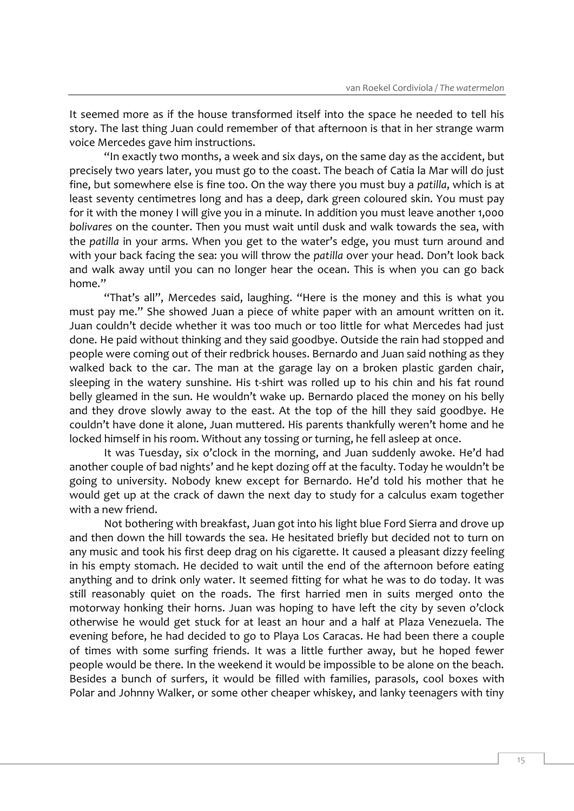It seemed more as if the house transformed itself into the space he needed to tell his story. The last thing Juan could remember of that afternoon is that in her strange warm voice Mercedes gave him instructions.

"In exactly two months, a week and six days, on the same day as the accident, but precisely two years later, you must go to the coast. The beach of Catia la Mar will do just fine, but somewhere else is fine too. On the way there you must buy a *patilla*, which is at least seventy centimetres long and has a deep, dark green coloured skin. You must pay for it with the money I will give you in a minute. In addition you must leave another 1,000 *bolivares* on the counter. Then you must wait until dusk and walk towards the sea, with the *patilla* in your arms. When you get to the water's edge, you must turn around and with your back facing the sea: you will throw the *patilla* over your head. Don't look back and walk away until you can no longer hear the ocean. This is when you can go back home."

"That's all", Mercedes said, laughing. "Here is the money and this is what you must pay me." She showed Juan a piece of white paper with an amount written on it. Juan couldn't decide whether it was too much or too little for what Mercedes had just done. He paid without thinking and they said goodbye. Outside the rain had stopped and people were coming out of their redbrick houses. Bernardo and Juan said nothing as they walked back to the car. The man at the garage lay on a broken plastic garden chair, sleeping in the watery sunshine. His t-shirt was rolled up to his chin and his fat round belly gleamed in the sun. He wouldn't wake up. Bernardo placed the money on his belly and they drove slowly away to the east. At the top of the hill they said goodbye. He couldn't have done it alone, Juan muttered. His parents thankfully weren't home and he locked himself in his room. Without any tossing or turning, he fell asleep at once.

It was Tuesday, six o'clock in the morning, and Juan suddenly awoke. He'd had another couple of bad nights' and he kept dozing off at the faculty. Today he wouldn't be going to university. Nobody knew except for Bernardo. He'd told his mother that he would get up at the crack of dawn the next day to study for a calculus exam together with a new friend.

Not bothering with breakfast, Juan got into his light blue Ford Sierra and drove up and then down the hill towards the sea. He hesitated briefly but decided not to turn on any music and took his first deep drag on his cigarette. It caused a pleasant dizzy feeling in his empty stomach. He decided to wait until the end of the afternoon before eating anything and to drink only water. It seemed fitting for what he was to do today. It was still reasonably quiet on the roads. The first harried men in suits merged onto the motorway honking their horns. Juan was hoping to have left the city by seven o'clock otherwise he would get stuck for at least an hour and a half at Plaza Venezuela. The evening before, he had decided to go to Playa Los Caracas. He had been there a couple of times with some surfing friends. It was a little further away, but he hoped fewer people would be there. In the weekend it would be impossible to be alone on the beach. Besides a bunch of surfers, it would be filled with families, parasols, cool boxes with Polar and Johnny Walker, or some other cheaper whiskey, and lanky teenagers with tiny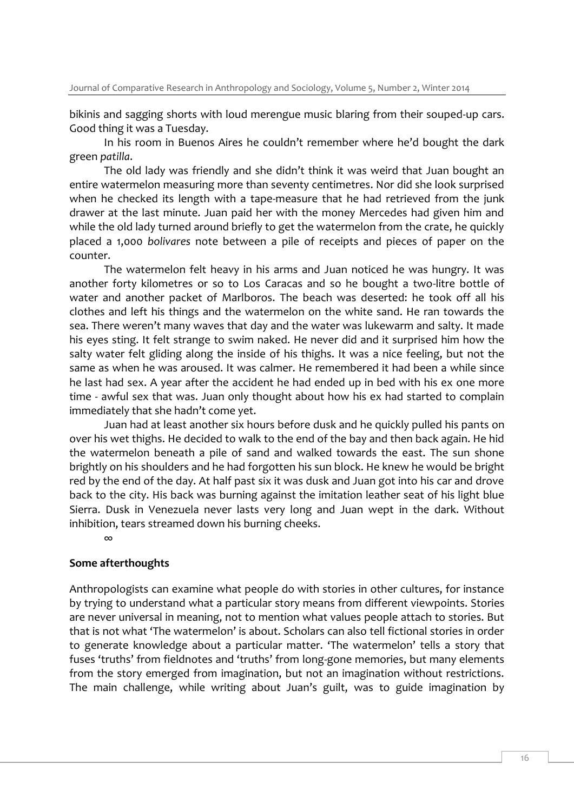bikinis and sagging shorts with loud merengue music blaring from their souped-up cars. Good thing it was a Tuesday.

In his room in Buenos Aires he couldn't remember where he'd bought the dark green *patilla*.

The old lady was friendly and she didn't think it was weird that Juan bought an entire watermelon measuring more than seventy centimetres. Nor did she look surprised when he checked its length with a tape-measure that he had retrieved from the junk drawer at the last minute. Juan paid her with the money Mercedes had given him and while the old lady turned around briefly to get the watermelon from the crate, he quickly placed a 1,000 *bolivares* note between a pile of receipts and pieces of paper on the counter.

The watermelon felt heavy in his arms and Juan noticed he was hungry. It was another forty kilometres or so to Los Caracas and so he bought a two-litre bottle of water and another packet of Marlboros. The beach was deserted: he took off all his clothes and left his things and the watermelon on the white sand. He ran towards the sea. There weren't many waves that day and the water was lukewarm and salty. It made his eyes sting. It felt strange to swim naked. He never did and it surprised him how the salty water felt gliding along the inside of his thighs. It was a nice feeling, but not the same as when he was aroused. It was calmer. He remembered it had been a while since he last had sex. A year after the accident he had ended up in bed with his ex one more time - awful sex that was. Juan only thought about how his ex had started to complain immediately that she hadn't come yet.

Juan had at least another six hours before dusk and he quickly pulled his pants on over his wet thighs. He decided to walk to the end of the bay and then back again. He hid the watermelon beneath a pile of sand and walked towards the east. The sun shone brightly on his shoulders and he had forgotten his sun block. He knew he would be bright red by the end of the day. At half past six it was dusk and Juan got into his car and drove back to the city. His back was burning against the imitation leather seat of his light blue Sierra. Dusk in Venezuela never lasts very long and Juan wept in the dark. Without inhibition, tears streamed down his burning cheeks.

∞

#### **Some afterthoughts**

Anthropologists can examine what people do with stories in other cultures, for instance by trying to understand what a particular story means from different viewpoints. Stories are never universal in meaning, not to mention what values people attach to stories. But that is not what 'The watermelon' is about. Scholars can also tell fictional stories in order to generate knowledge about a particular matter. 'The watermelon' tells a story that fuses 'truths' from fieldnotes and 'truths' from long-gone memories, but many elements from the story emerged from imagination, but not an imagination without restrictions. The main challenge, while writing about Juan's guilt, was to guide imagination by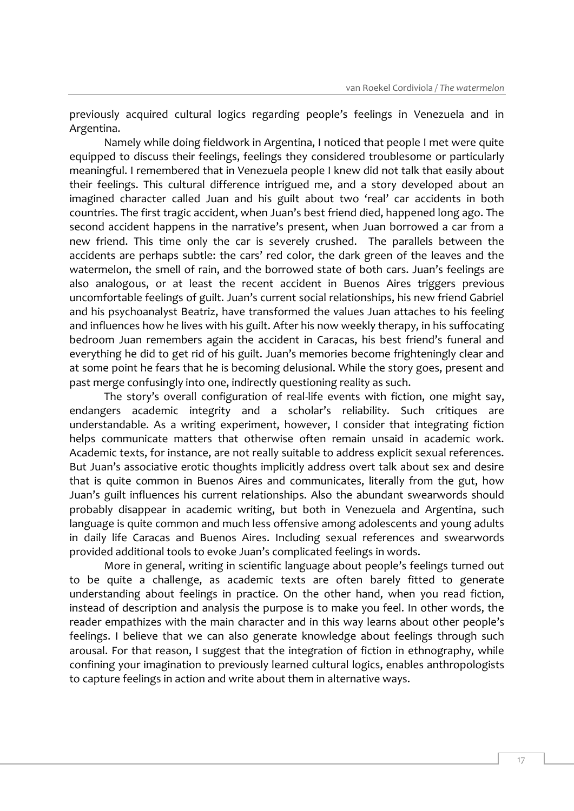previously acquired cultural logics regarding people's feelings in Venezuela and in Argentina.

Namely while doing fieldwork in Argentina, I noticed that people I met were quite equipped to discuss their feelings, feelings they considered troublesome or particularly meaningful. I remembered that in Venezuela people I knew did not talk that easily about their feelings. This cultural difference intrigued me, and a story developed about an imagined character called Juan and his guilt about two 'real' car accidents in both countries. The first tragic accident, when Juan's best friend died, happened long ago. The second accident happens in the narrative's present, when Juan borrowed a car from a new friend. This time only the car is severely crushed. The parallels between the accidents are perhaps subtle: the cars' red color, the dark green of the leaves and the watermelon, the smell of rain, and the borrowed state of both cars. Juan's feelings are also analogous, or at least the recent accident in Buenos Aires triggers previous uncomfortable feelings of guilt. Juan's current social relationships, his new friend Gabriel and his psychoanalyst Beatriz, have transformed the values Juan attaches to his feeling and influences how he lives with his guilt. After his now weekly therapy, in his suffocating bedroom Juan remembers again the accident in Caracas, his best friend's funeral and everything he did to get rid of his guilt. Juan's memories become frighteningly clear and at some point he fears that he is becoming delusional. While the story goes, present and past merge confusingly into one, indirectly questioning reality as such.

The story's overall configuration of real-life events with fiction, one might say, endangers academic integrity and a scholar's reliability. Such critiques are understandable. As a writing experiment, however, I consider that integrating fiction helps communicate matters that otherwise often remain unsaid in academic work. Academic texts, for instance, are not really suitable to address explicit sexual references. But Juan's associative erotic thoughts implicitly address overt talk about sex and desire that is quite common in Buenos Aires and communicates, literally from the gut, how Juan's guilt influences his current relationships. Also the abundant swearwords should probably disappear in academic writing, but both in Venezuela and Argentina, such language is quite common and much less offensive among adolescents and young adults in daily life Caracas and Buenos Aires. Including sexual references and swearwords provided additional tools to evoke Juan's complicated feelings in words.

More in general, writing in scientific language about people's feelings turned out to be quite a challenge, as academic texts are often barely fitted to generate understanding about feelings in practice. On the other hand, when you read fiction, instead of description and analysis the purpose is to make you feel. In other words, the reader empathizes with the main character and in this way learns about other people's feelings. I believe that we can also generate knowledge about feelings through such arousal. For that reason, I suggest that the integration of fiction in ethnography, while confining your imagination to previously learned cultural logics, enables anthropologists to capture feelings in action and write about them in alternative ways.